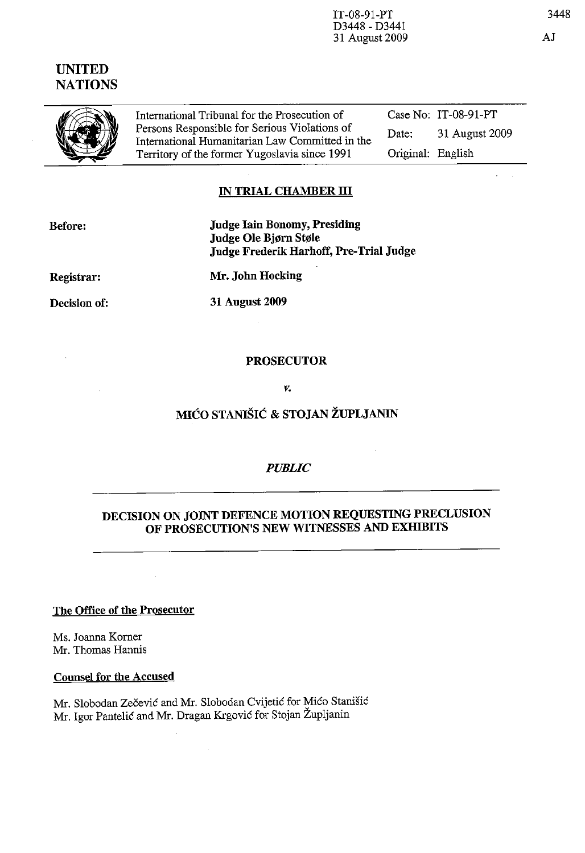IT-08-9l-PT D3448 - D344l 31 August 2009

# Case No: IT-08-9l-PT Date: 31 August 2009

# IN TRIAL CHAMBER III

| <b>Before:</b> | <b>Judge Iain Bonomy, Presiding</b>     |
|----------------|-----------------------------------------|
|                | Judge Ole Bjørn Støle                   |
|                | Judge Frederik Harhoff, Pre-Trial Judge |

International Humanitarian Law Committed in the Territory of the former Yugoslavia since 1991

Registrar: Mr. John Hocking

Decision of: 31 August 2009

PROSECUTOR

#### *v.*

# MIĆO STANIŠIĆ & STOJAN ŽUPLJANIN

# *PUBLIC*

# DECISION ON JOINT DEFENCE MOTION REQUESTING PRECLUSION OF PROSECUTION'S NEW WITNESSES AND EXHIBITS

The Office of the Prosecutor

 $\bar{a}$ 

Ms. Joanna Korner Mr. Thomas Hannis

Counsel for the Accused

Mr. Slobodan Zecevic and Mr. Slobodan Cvijetic for Mico Stanisic Mr. Igor Pantelic and Mr. Dragan Krgovic for Stojan Zupljanin

 $\hat{\mathcal{A}}$ 

# UNITED **NATIONS**

(fJ **, <!** 

International Tribunal for the Prosecution of Persons Responsible for Serious Violations of

Original: English

 $\mathbf{z} = \mathbf{z}$ 

3448

AJ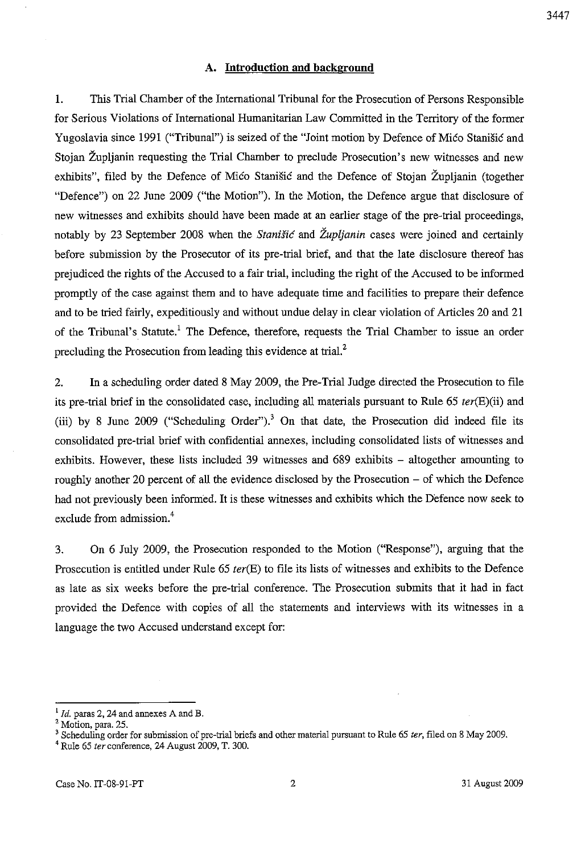#### **A. Introduction and background**

1. This Trial Chamber of the International Tribunal for the Prosecution of Persons Responsible for Serious Violations of International Humanitarian Law Committed in the Territory of the former Yugoslavia since 1991 ("Tribunal") is seized of the "Joint motion by Defence of Mico Stanisic and Stojan Zupljanin requesting the Trial Chamber to preclude Prosecution's new witnesses and new exhibits", filed by the Defence of Mico Stanisic and the Defence of Stojan Zupljanin (together "Defence") on 22 June 2009 ("the Motion"). In the Motion, the Defence argue that disclosure of new witnesses and exhibits should have been made at an earlier stage of the pre-trial proceedings, notably by 23 September 2008 when the *Stanisic* and *Zupljanin* cases were joined and certainly before submission by the Prosecutor of its pre-trial brief, and that the late disclosure thereof has prejudiced the rights of the Accused to a fair trial, including the right of the Accused to be informed promptly of the case against them and to have adequate time and facilities to prepare their defence and to be tried fairly, expeditiously and without undue delay in clear violation of Articles 20 and 21 of the Tribunal's Statute.<sup>1</sup> The Defence, therefore, requests the Trial Chamber to issue an order precluding the Prosecution from leading this evidence at trial.<sup>2</sup>

2. In a scheduling order dated 8 May 2009, the Pre-Trial Judge directed the Prosecution to file its pre-trial brief in the consolidated case, including all materials pursuant to Rule  $65 \text{ ter}(\text{E})(ii)$  and (iii) by 8 June 2009 ("Scheduling Order").<sup>3</sup> On that date, the Prosecution did indeed file its consolidated pre-trial brief with confidential annexes, including consolidated lists of witnesses and exhibits. However, these lists included 39 witnesses and 689 exhibits – altogether amounting to roughly another 20 percent of all the evidence disclosed by the Prosecution – of which the Defence had not previously been informed. It is these witnesses and exhibits which the Defence now seek to exclude from admission.<sup>4</sup>

3. On 6 July 2009, the Prosecution responded to the Motion ("Response"), arguing that the Prosecution is entitled under Rule  $65 \text{ ter}$ (E) to file its lists of witnesses and exhibits to the Defence as late as six weeks before the pre-trial conference. The Prosecution submits that it had in fact provided the Defence with copies of all the statements and interviews with its witnesses in a language the two Accused understand except for:

<sup>&</sup>lt;sup>1</sup> Id. paras 2, 24 and annexes A and B.

<sup>2</sup> Motion, para. 25.

<sup>3</sup> Scheduling order for submission of pre-trial briefs and other material pursuant to Rule 65 *ter,* filed on 8 May 2009.

<sup>4</sup> Rule 65 *ter* conference, 24 August 2009, T. 300.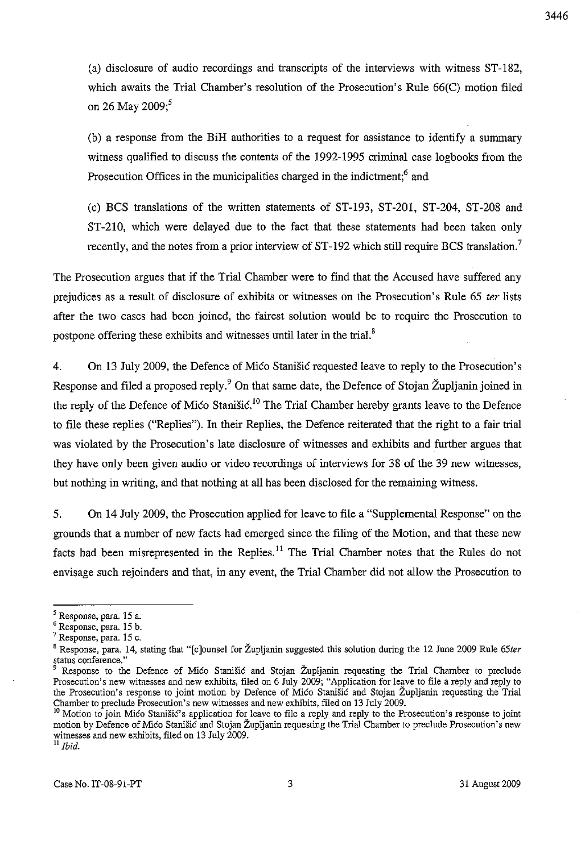(a) disclosure of audio recordings and transcripts of the interviews with witness ST-182, which awaits the Trial Chamber's resolution of the Prosecution's Rule 66(C) motion filed on 26 May 2009;<sup>5</sup>

(b) a response from the BiH authorities to a request for assistance to identify a summary witness qualified to discuss the contents of the 1992-1995 criminal case logbooks from the Prosecution Offices in the municipalities charged in the indictment;<sup>6</sup> and

(c) BCS translations of the written statements of ST-193, ST-201, ST-204, ST-208 and ST-21O, which were delayed due to the fact that these statements had been taken only recently, and the notes from a prior interview of ST-192 which still require BCS translation.<sup>7</sup>

The Prosecution argues that if the Trial Chamber were to find that the Accused have suffered any prejudices as a result of disclosure of exhibits or witnesses on the Prosecution's Rule 65 *ter* lists after the two cases had been joined, the fairest solution would be to require the Prosecution to postpone offering these exhibits and witnesses until later in the trial.<sup>8</sup>

4. On 13 July 2009, the Defence of Mico Stanisic requested leave to reply to the Prosecution's Response and filed a proposed reply.<sup>9</sup> On that same date, the Defence of Stojan Župljanin joined in the reply of the Defence of Mico Stanišic.<sup>10</sup> The Trial Chamber hereby grants leave to the Defence to file these replies ("Replies"). **In** their Replies, the Defence reiterated that the right to a fair trial was violated by the Prosecution's late disclosure of witnesses and exhibits and further argues that they have only been given audio or video recordings of interviews for 38 of the 39 new witnesses, but nothing in writing, and that nothing at all has been disclosed for the remaining witness.

5. On 14 July 2009, the Prosecution applied for leave to file a "Supplemental Response" on the grounds that a number of new facts had emerged since the filing of the Motion, and that these new facts had been misrepresented in the Replies.<sup>11</sup> The Trial Chamber notes that the Rules do not envisage such rejoinders and that, in any event, the Trial Chamber did not allow the Prosecution to

<sup>&</sup>lt;sup>5</sup> Response, para. 15 a.

**<sup>6</sup> Response, para. 15 b.** 

 $7$  Response, para. 15 c.

<sup>8</sup> Response, para. 14, stating that "[clounsel for Zupljanin suggested this solution during the 12 June 2009 Rule *65ter*  status conference."<br><sup>9</sup>

Response to the Defence of Mico Stanišic and Stojan Župljanin requesting the Trial Chamber to preclude Prosecution's new witnesses and new exhibits, filed on 6 July 2009; "Application for leave to file a reply and reply to the Prosecution's response to joint motion by Defence of Mico Stanisic and Stojan Zupljanin requesting the Trial Chamber to preclude Prosecution's new witnesses and new exhibits, filed on 13 July 2009.

<sup>&</sup>lt;sup>10</sup> Motion to join Mico Stanišic's application for leave to file a reply and reply to the Prosecution's response to joint motion by Defence of Mico Stanisic and Stojan Zupljanin requesting the Trial Chamber to preclude Prosecution's new witnesses and new exhibits, filed on 13 July 2009.

 $^{\text{II}}$  *Ibid.*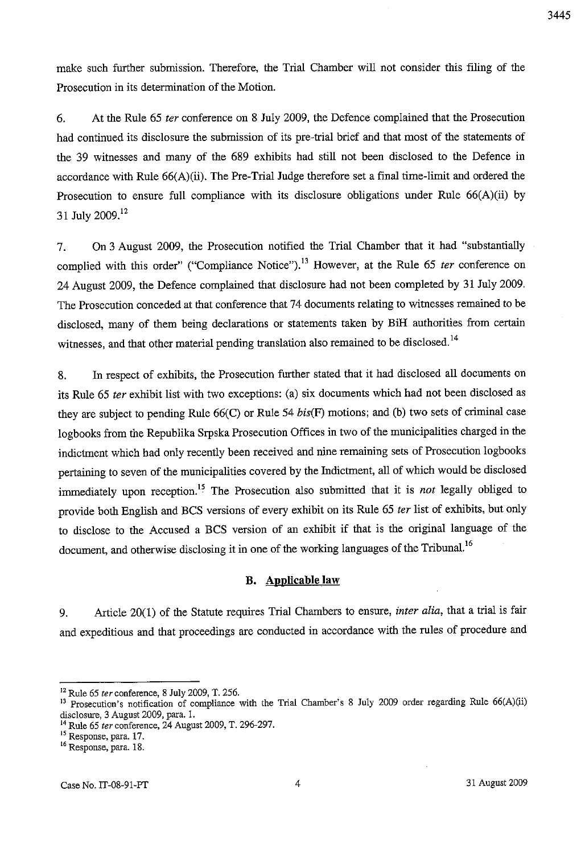make such further submission. Therefore, the Trial Chamber will not consider this filing of the Prosecution in its determination of the Motion.

6. At the Rule 65 *ter* conference on 8 July 2009, the Defence complained that the Prosecution had continued its disclosure the submission of its pre-trial brief and that most of the statements of the 39 witnesses and many of the 689 exhibits had still not been disclosed to the Defence in accordance with Rule 66(A)(ii). The Pre-Trial Judge therefore set a final time-limit and ordered the Prosecution to ensure full compliance with its disclosure obligations under Rule 66(A)(ii) by 31 July 2009.<sup>12</sup>

7. On 3 August 2009, the Prosecution notified the Trial Chamber that it had "substantially complied with this order" ("Compliance Notice").<sup>13</sup> However, at the Rule 65 *ter* conference on 24 August 2009, the Defence complained that disclosure had not been completed by 31 July 2009. The Prosecution conceded at that conference that 74 documents relating to witnesses remained to be disclosed, many of them being declarations or statements taken by **BiH** authorities from certain witnesses, and that other material pending translation also remained to be disclosed.<sup>14</sup>

8. In respect of exhibits, the Prosecution further stated that it had disclosed all documents on its Rule 65 *ter* exhibit list with two exceptions: (a) six documents which had not been disclosed as they are subject to pending Rule  $66(C)$  or Rule 54 bis(F) motions; and (b) two sets of criminal case logbooks from the Republika Srpska Prosecution Offices in two of the municipalities charged in the indictment which had only recently been received and nine remaining sets of Prosecution logbooks pertaining to seven of the municipalities covered by the Indictment, all of which would be disclosed immediately upon reception.'5 The Prosecution also submitted that it is *not* legally obliged to provide both English and BCS versions of every exhibit on its Rule 65 *ter* list of exhibits, but only to disclose to the Accused a BCS version of an exhibit if that is the original language of the document, and otherwise disclosing it in one of the working languages of the Tribunal.<sup>16</sup>

### **B. Applicable law**

9. Article 20(1) of the Statute requires **Trial** Chambers to ensure, *inter alia,* that a trial is fair and expeditious and that proceedings are conducted in accordance with the rules of procedure and

<sup>12</sup> Rule 65 *ter* conference, 8 July 2009, T. 256.

<sup>&</sup>lt;sup>13</sup> Prosecution's notification of compliance with the Trial Chamber's 8 July 2009 order regarding Rule 66(A)(ii) disclosure, 3 August 2009, para. 1.

<sup>14</sup> Rule 65 *ter* conference, 24 August 2009, T. 296-297.

<sup>&</sup>lt;sup>15</sup> Response, para. 17.

<sup>&</sup>lt;sup>16</sup> Response, para. 18.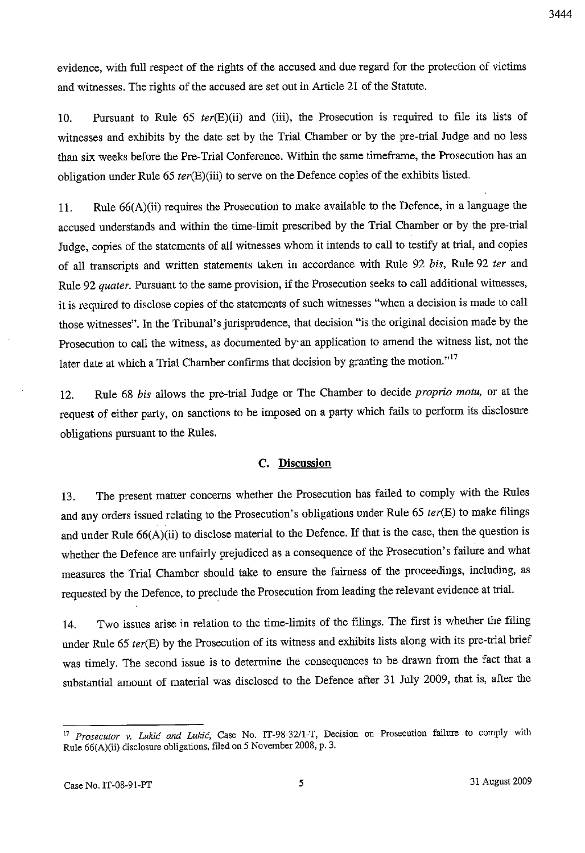evidence, with full respect of the rights of the accused and due regard for the protection of victims and witnesses. The rights of the accused are set out in Article 21 of the Statnte.

10. Pursuant to Rule 65 *ter(E)(ii)* and (iii), the Prosecution is required to file its lists of witnesses and exhibits by the date set by the Trial Chamber or by the pre-trial Judge and no less than six weeks before the Pre-Trial Conference. Within the same timeframe, the Prosecution has an obligation under Rule 65 *ter(E)(iii)* to serve on the Defence copies of the exhibits listed.

11. Rule 66(A)(ii) requires the Prosecution to make available to the Defence, in a language the accused understands and within the time-limit prescribed by the Trial Chamber or by the pre-trial Judge, copies of the statements of all witnesses whom it intends to call to testify at trial, and copies of all transcripts and written statements taken in accordance with Rule 92 *his,* Rule 92 *ter* and Rule 92 *quater.* Pursuant to the same provision, if the Prosecution seeks to call additional witnesses, it is required to disclose copies of the statements of such witnesses "when a decision is made to call those witnesses". In the Tribunal's jurisprudence, that decision "is the original decision made by the Prosecution to call the witness, as documented by' an application to amend the witness list, not the later date at which a Trial Chamber confirms that decision by granting the motion. $17$ 

12. Rule 68 *his* allows the pre-trial Judge or The Chamber to decide *proprio motu,* or at the request of either party, on sanctions to be imposed on a party which fails to perform its disclosure obligations pursuant to the Rules.

## **C.** Discussion

13. The present matter concerns whether the Prosecution has failed to comply with the Rules and any orders issued relating to the Prosecution's obligations under Rule 65 *ter*(E) to make filings and under Rule 66(A)(ii) to disclose material to the Defence. If that is the case, then the question is whether the Defence are unfairly prejudiced as a consequence of the Prosecution's failure and what measures the Trial Chamber should take to ensure the fairness of the proceedings, including, as requested by the Defence, to preclude the Prosecution from leading the relevant evidence at trial.

14. Two issues arise in relation to the time-limits of the filings. The first is whether the filing under Rule 65 *ter*(E) by the Prosecution of its witness and exhibits lists along with its pre-trial brief was timely. The second issue is to determine the consequences to be drawn from the fact that a substantial amount of material was disclosed to the Defence after 31 July 2009, that is, after the

<sup>&</sup>lt;sup>17</sup> Prosecutor v. Lukić and Lukić, Case No. IT-98-32/1-T, Decision on Prosecution failure to comply with Rule 66(A)(ii) disclosure obligations, filed on 5 November 2008, p. 3.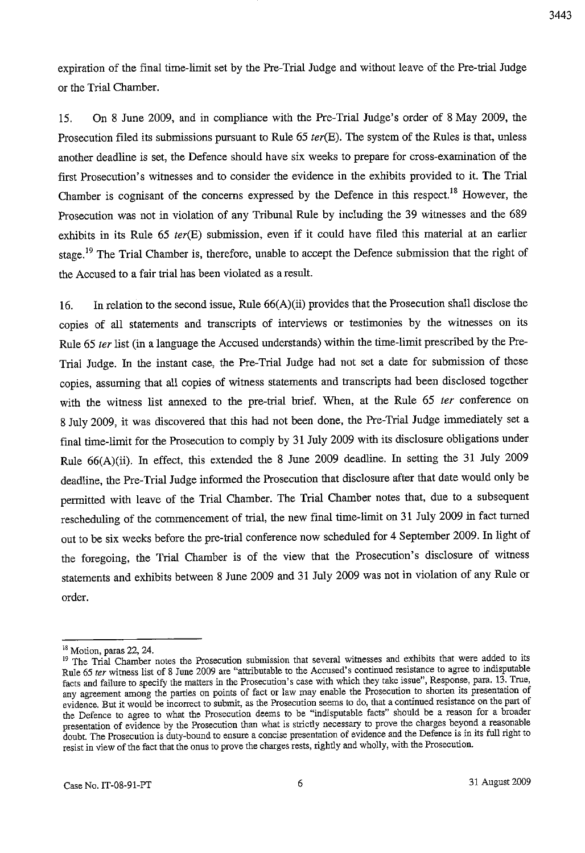expiration of the final time-limit set by the Pre-Trial Judge and without leave of the Pre-trial Judge or the Trial Chamber.

15. On 8 June 2009, and in compliance with the Pre-Trial Judge's order of 8 May 2009, the Prosecution filed its submissions pursuant to Rule 65 *terCE).* The system of the Rules is that, unless another deadline is set, the Defence should have six weeks to prepare for cross-examination of the first Prosecution's witnesses and to consider the evidence in the exhibits provided to it. The Trial Chamber is cognisant of the concerns expressed by the Defence in this respect.18 However, the Prosecution was not in violation of any Tribunal Rule by including the 39 witnesses and the 689 exhibits in its Rule 65 *ter*(E) submission, even if it could have filed this material at an earlier stage.<sup>19</sup> The Trial Chamber is, therefore, unable to accept the Defence submission that the right of the Accused to a fair trial has been violated as a result.

16. In relation to the second issue, Rule 66(A)(ii) provides that the Prosecution shall disclose the copies of all statements and transcripts of interviews or testimonies by the witnesses on its Rule 65 *ter* list (in a language the Accused understands) within the time-limit prescribed by the Pre-Trial Judge. In the instant case, the Pre-Trial Judge had not set a date for submission of these copies, assuming that all copies of witness statements and transcripts had been disclosed together with the witness list annexed to the pre-trial brief. When, at the Rule 65 *ter* conference on 8 July 2009, it was discovered that this had not been done, the Pre-Trial Judge immediately set a final time-limit for the Prosecution to comply by 31 July 2009 with its disclosure obligations under Rule 66(A)(ii). In effect, this extended the 8 June 2009 deadline. In setting the 31 July 2009 deadline, the Pre-Trial Judge informed the Prosecution that disclosure after that date would only be permitted with leave of the Trial Chamber. The Trial Chamber notes that, due to a subsequent rescheduling of the commencement of trial, the new final time-limit on 31 July 2009 in fact turned out to be six weeks before the pre-trial conference now scheduled for 4 September 2009. In light of the foregoing, the Trial Chamber is of the view that the Prosecution's disclosure of witness statements and exhibits between 8 June 2009 and 31 July 2009 was not in violation of any Rule or order.

<sup>18</sup> Motion, paras 22, 24.

<sup>&</sup>lt;sup>19</sup> The Trial Chamber notes the Prosecution submission that several witnesses and exhibits that were added to its Rule 65 *ter* witness list of 8 June 2009 are "attributable to the Accused's continued resistance to agree to indisputable **facts and failure to specify the matters in the Prosecution's case with which they take issue", Response, para. 13. True, any agreement among the parties on points of fact or law may enable the Prosecution to shorten its presentation of evidence. But it would be incorrect to submit, as the Prosecution seems to do, that a continued resistance on the part of the Defence to agree to what the Prosecution deems to be "indisputable facts" should be a reason for a broader**  presentation of evidence by the Prosecution than what is strictly necessary to prove the charges beyond a reasonable **doubt. The Prosecution is duty-bound to ensure a concise presentation of evidence and the Defence is in its full right to**  resist in view of the fact that the onus to prove the charges rests, rightly and wholly, with the Prosecution.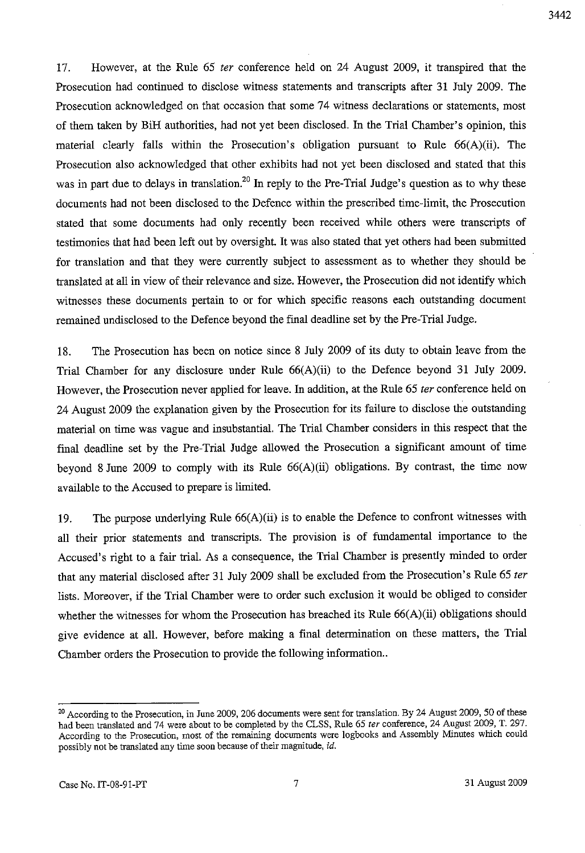17. However, at the Rule 65 *ter* conference held on 24 August 2009, it transpired that the Prosecution had continued to disclose witness statements and transcripts after 31 July 2009. The Prosecution acknowledged on that occasion that some 74 witness declarations or statements, most of them taken by BiH authorities, had not yet been disclosed. **In** the Trial Chamber's opinion, this material clearly falls within the Prosecution's obligation pursuant to Rule 66(A)(ii). The Prosecution also acknowledged that other exhibits had not yet been disclosed and stated that this was in part due to delays in translation.<sup>20</sup> In reply to the Pre-Trial Judge's question as to why these documents had not been disclosed to the Defence within the prescribed time-limit, the Prosecution stated that some documents had only recently been received while others were transcripts of testimonies that had been left out by oversight. It was also stated that yet others had been submitted for translation and that they were currently subject to assessment as to whether they should be translated at all in view of their relevance and size. However, the Prosecution did not identify which witnesses these documents pertain to or for which specific reasons each outstanding document remained undisclosed to the Defence beyond the final deadline set by the Pre-Trial Judge.

18. The Prosecution has been on notice since 8 July 2009 of its duty to obtain leave from the Trial Chamber for any disclosure under Rule 66(A)(ii) to the Defence beyond 31 July 2009. However, the Prosecution never applied for leave. **In** addition, at the Rule 65 *ter* conference held on 24 August 2009 the explanation given by the Prosecution for its failure to disclose the outstanding material on time was vague and insubstantial. The Trial Chamber considers in this respect that the final deadline set by the Pre-Trial Judge allowed the Prosecution a significant amount of time beyond 8 June 2009 to comply with its Rule 66(A)(ii) obligations. By contrast, the time now available to the Accused to prepare is limited.

19. The purpose underlying Rule 66(A)(ii) is to enable the Defence to confront witnesses with all their prior statements and transcripts. The provision is of fundamental importance to the Accused's right to a fair trial. As a consequence, the Trial Chamber is presently minded to order that any material disclosed after 31 July 2009 shall be excluded from the Prosecution's Rule 65 *ter*  lists. Moreover, if the Trial Chamber were to order such exclusion it would be obliged to consider whether the witnesses for whom the Prosecution has breached its Rule 66(A)(ii) obligations should give evidence at all. However, before making a final determination on these matters, the Trial Chamber orders the Prosecution to provide the following information ..

<sup>&</sup>lt;sup>20</sup> According to the Prosecution, in June 2009, 206 documents were sent for translation. By 24 August 2009, 50 of these had been translated and 74 were about to be completed by the CLSS, Rule 65 *ter* conference, 24 August 2009, T. 297. **According to the Prosecution, most of the remaining documents were logbooks and Assembly Minutes which could**  possibly not be translated any time soon because of their magnitude, id.